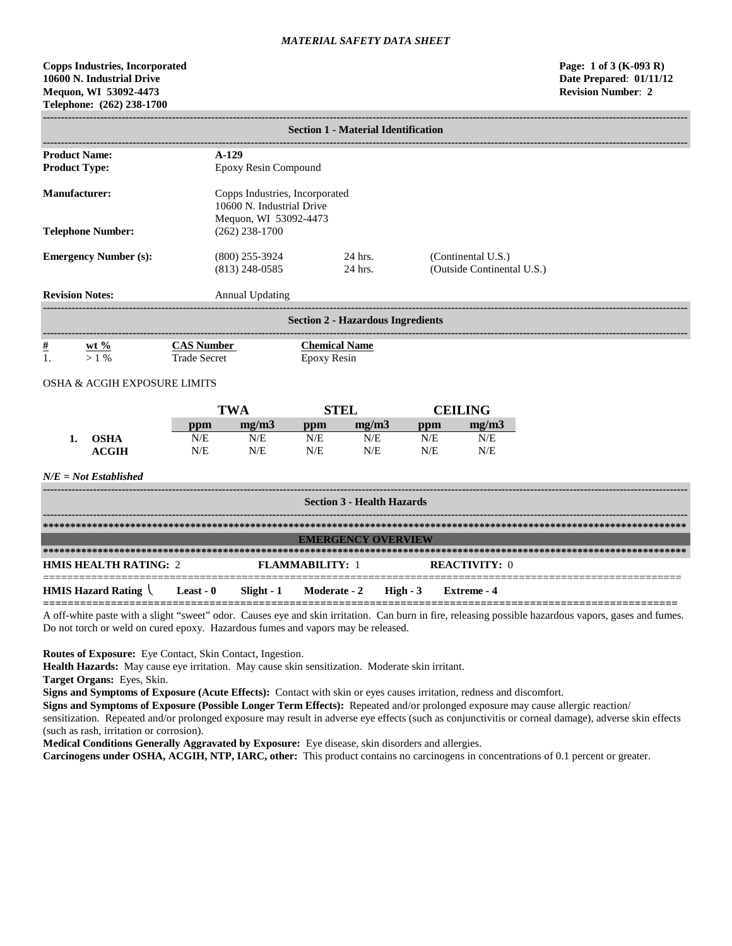# **Copps Industries, Incorporated Page: 1 of 3 (K-093 R) 10600 N. Industrial Drive Date Prepared**: **01/11/12 Mequon, WI 53092-4473 Revision Number**: **2 Telephone: (262) 238-1700**

| <b>Section 1 - Material Identification</b>   |                                                             |                                      |                                     |                                          |     |                                                  |  |
|----------------------------------------------|-------------------------------------------------------------|--------------------------------------|-------------------------------------|------------------------------------------|-----|--------------------------------------------------|--|
| <b>Product Name:</b><br><b>Product Type:</b> | $A-129$<br>Epoxy Resin Compound                             |                                      |                                     |                                          |     |                                                  |  |
| Manufacturer:                                | Copps Industries, Incorporated<br>10600 N. Industrial Drive |                                      |                                     |                                          |     |                                                  |  |
| <b>Telephone Number:</b>                     | Mequon, WI 53092-4473<br>$(262)$ 238-1700                   |                                      |                                     |                                          |     |                                                  |  |
| <b>Emergency Number (s):</b>                 |                                                             | $(800)$ 255-3924<br>$(813)$ 248-0585 |                                     | 24 hrs.<br>24 hrs.                       |     | (Continental U.S.)<br>(Outside Continental U.S.) |  |
| <b>Revision Notes:</b>                       |                                                             | <b>Annual Updating</b>               |                                     |                                          |     |                                                  |  |
|                                              |                                                             |                                      |                                     | <b>Section 2 - Hazardous Ingredients</b> |     |                                                  |  |
| $\frac{\#}{1}$<br>$wt \%$<br>$>1\%$          | <b>CAS Number</b><br><b>Trade Secret</b>                    |                                      | <b>Chemical Name</b><br>Epoxy Resin |                                          |     |                                                  |  |
| <b>OSHA &amp; ACGIH EXPOSURE LIMITS</b>      |                                                             |                                      |                                     |                                          |     |                                                  |  |
|                                              |                                                             | <b>TWA</b>                           |                                     | <b>STEL</b>                              |     | <b>CEILING</b>                                   |  |
|                                              | ppm                                                         | mg/m3                                | ppm                                 | mg/m3                                    | ppm | mg/m3                                            |  |
| <b>OSHA</b>                                  | N/E                                                         | N/E                                  | N/E                                 | N/E                                      | N/E | N/E                                              |  |

*N/E = Not Established*

**ACGIH**

| <b>Section 3 - Health Hazards</b>                          |  |  |                                  |  |                      |
|------------------------------------------------------------|--|--|----------------------------------|--|----------------------|
|                                                            |  |  |                                  |  |                      |
|                                                            |  |  | <b>EMERGENCY OVERVIEW</b>        |  |                      |
|                                                            |  |  |                                  |  |                      |
| <b>HMIS HEALTH RATING: 2</b>                               |  |  | <b>FLAMMARILITY: 1</b>           |  | <b>REACTIVITY: 0</b> |
| <b>HMIS Hazard Rating <math>\setminus</math> Least - 0</b> |  |  | Slight - 1 Moderate - 2 High - 3 |  | Extreme - 4          |

N/E

N/E

N/E

A off-white paste with a slight "sweet" odor. Causes eye and skin irritation. Can burn in fire, releasing possible hazardous vapors, gases and fumes. Do not torch or weld on cured epoxy. Hazardous fumes and vapors may be released.

**Routes of Exposure:** Eye Contact, Skin Contact, Ingestion.

N/E

**Health Hazards:** May cause eye irritation. May cause skin sensitization. Moderate skin irritant.

N/E

N/E

**Target Organs:** Eyes, Skin.

**Signs and Symptoms of Exposure (Acute Effects):** Contact with skin or eyes causes irritation, redness and discomfort.

**Signs and Symptoms of Exposure (Possible Longer Term Effects):** Repeated and/or prolonged exposure may cause allergic reaction/ sensitization. Repeated and/or prolonged exposure may result in adverse eye effects (such as conjunctivitis or corneal damage), adverse skin effects (such as rash, irritation or corrosion).

**Medical Conditions Generally Aggravated by Exposure:** Eye disease, skin disorders and allergies.

**Carcinogens under OSHA, ACGIH, NTP, IARC, other:** This product contains no carcinogens in concentrations of 0.1 percent or greater.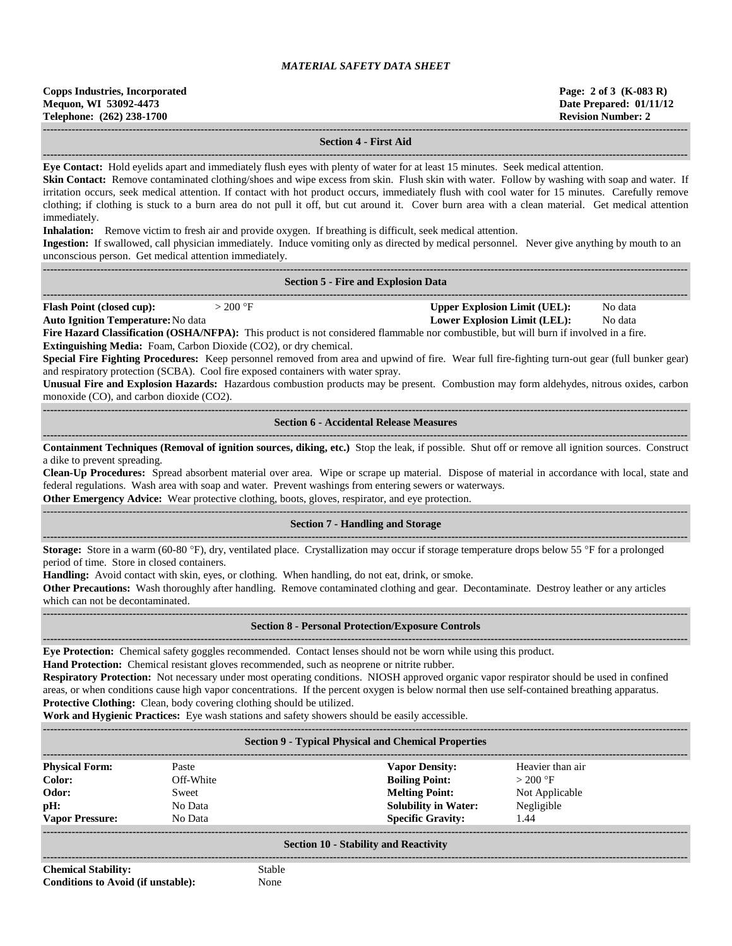**------------------------------------------------------------------------------------------------------------------------------------------------------------------------------------**

#### **Section 4 - First Aid**

**------------------------------------------------------------------------------------------------------------------------------------------------------------------------------------**

**Eye Contact:** Hold eyelids apart and immediately flush eyes with plenty of water for at least 15 minutes. Seek medical attention.

Skin Contact: Remove contaminated clothing/shoes and wipe excess from skin. Flush skin with water. Follow by washing with soap and water. If irritation occurs, seek medical attention. If contact with hot product occurs, immediately flush with cool water for 15 minutes. Carefully remove clothing; if clothing is stuck to a burn area do not pull it off, but cut around it. Cover burn area with a clean material. Get medical attention immediately.

**Inhalation:** Remove victim to fresh air and provide oxygen. If breathing is difficult, seek medical attention.

**Ingestion:** If swallowed, call physician immediately. Induce vomiting only as directed by medical personnel. Never give anything by mouth to an unconscious person. Get medical attention immediately.

| <b>Section 5 - Fire and Explosion Data</b>                                                                                                                                                                                                                                                                                                                                                                                                                                                                                                                                                                                                                                                                                                                                                                                                                                                                                                                                                                                             |
|----------------------------------------------------------------------------------------------------------------------------------------------------------------------------------------------------------------------------------------------------------------------------------------------------------------------------------------------------------------------------------------------------------------------------------------------------------------------------------------------------------------------------------------------------------------------------------------------------------------------------------------------------------------------------------------------------------------------------------------------------------------------------------------------------------------------------------------------------------------------------------------------------------------------------------------------------------------------------------------------------------------------------------------|
| <b>Flash Point (closed cup):</b><br>$>200$ °F<br><b>Upper Explosion Limit (UEL):</b><br>No data<br><b>Auto Ignition Temperature: No data</b><br><b>Lower Explosion Limit (LEL):</b><br>No data<br>Fire Hazard Classification (OSHA/NFPA): This product is not considered flammable nor combustible, but will burn if involved in a fire.<br>Extinguishing Media: Foam, Carbon Dioxide (CO2), or dry chemical.<br>Special Fire Fighting Procedures: Keep personnel removed from area and upwind of fire. Wear full fire-fighting turn-out gear (full bunker gear)<br>and respiratory protection (SCBA). Cool fire exposed containers with water spray.<br>Unusual Fire and Explosion Hazards: Hazardous combustion products may be present. Combustion may form aldehydes, nitrous oxides, carbon<br>monoxide (CO), and carbon dioxide (CO2).                                                                                                                                                                                           |
| <b>Section 6 - Accidental Release Measures</b>                                                                                                                                                                                                                                                                                                                                                                                                                                                                                                                                                                                                                                                                                                                                                                                                                                                                                                                                                                                         |
| Containment Techniques (Removal of ignition sources, diking, etc.) Stop the leak, if possible. Shut off or remove all ignition sources. Construct<br>a dike to prevent spreading.<br>Clean-Up Procedures: Spread absorbent material over area. Wipe or scrape up material. Dispose of material in accordance with local, state and<br>federal regulations. Wash area with soap and water. Prevent washings from entering sewers or waterways.<br>Other Emergency Advice: Wear protective clothing, boots, gloves, respirator, and eye protection.                                                                                                                                                                                                                                                                                                                                                                                                                                                                                      |
| <b>Section 7 - Handling and Storage</b>                                                                                                                                                                                                                                                                                                                                                                                                                                                                                                                                                                                                                                                                                                                                                                                                                                                                                                                                                                                                |
| Storage: Store in a warm (60-80 °F), dry, ventilated place. Crystallization may occur if storage temperature drops below 55 °F for a prolonged<br>period of time. Store in closed containers.<br>Handling: Avoid contact with skin, eyes, or clothing. When handling, do not eat, drink, or smoke.<br>Other Precautions: Wash thoroughly after handling. Remove contaminated clothing and gear. Decontaminate. Destroy leather or any articles<br>which can not be decontaminated.                                                                                                                                                                                                                                                                                                                                                                                                                                                                                                                                                     |
| <b>Section 8 - Personal Protection/Exposure Controls</b>                                                                                                                                                                                                                                                                                                                                                                                                                                                                                                                                                                                                                                                                                                                                                                                                                                                                                                                                                                               |
| Eye Protection: Chemical safety goggles recommended. Contact lenses should not be worn while using this product.<br>Hand Protection: Chemical resistant gloves recommended, such as neoprene or nitrite rubber.<br>Respiratory Protection: Not necessary under most operating conditions. NIOSH approved organic vapor respirator should be used in confined<br>areas, or when conditions cause high vapor concentrations. If the percent oxygen is below normal then use self-contained breathing apparatus.<br><b>Protective Clothing:</b> Clean, body covering clothing should be utilized.<br>$\mathbf{r}$ , $\mathbf{r}$ , $\mathbf{r}$ , $\mathbf{r}$ , $\mathbf{r}$ , $\mathbf{r}$ , $\mathbf{r}$ , $\mathbf{r}$ , $\mathbf{r}$ , $\mathbf{r}$ , $\mathbf{r}$ , $\mathbf{r}$ , $\mathbf{r}$ , $\mathbf{r}$ , $\mathbf{r}$ , $\mathbf{r}$ , $\mathbf{r}$ , $\mathbf{r}$ , $\mathbf{r}$ , $\mathbf{r}$ ,<br>$\mathbf{r}$ , $\mathbf{r}$ , $\mathbf{r}$ , $\mathbf{r}$ , $\mathbf{r}$ , $\mathbf{r}$ , $\mathbf{r}$ , $\mathbf{r}$ |

**Work and Hygienic Practices:** Eye wash stations and safety showers should be easily accessible.

| <b>Section 9 - Typical Physical and Chemical Properties</b> |                      |                             |                  |  |  |  |
|-------------------------------------------------------------|----------------------|-----------------------------|------------------|--|--|--|
| <b>Physical Form:</b>                                       | Paste                | <b>Vapor Density:</b>       | Heavier than air |  |  |  |
| Color:                                                      | Off-White            | <b>Boiling Point:</b>       | $>200$ °F        |  |  |  |
| Odor:                                                       | Sweet                | <b>Melting Point:</b>       | Not Applicable   |  |  |  |
| pH:                                                         | No Data              | <b>Solubility in Water:</b> | Negligible       |  |  |  |
| <b>Vapor Pressure:</b>                                      | No Data              | <b>Specific Gravity:</b>    | 1.44             |  |  |  |
| <b>Section 10 - Stability and Reactivity</b>                |                      |                             |                  |  |  |  |
| $\sim$ $\sim$ $\sim$ $\sim$ $\sim$ $\sim$ $\sim$            | $\sim$ $\sim$ $\sim$ |                             |                  |  |  |  |

**Chemical Stability:** Stable **Conditions to Avoid (if unstable):** None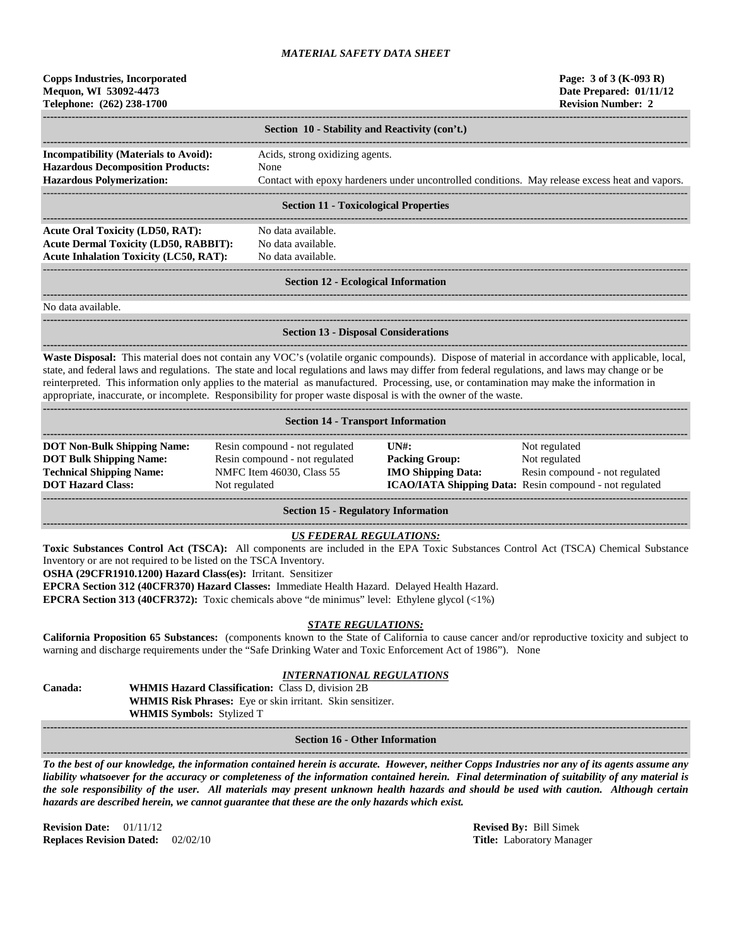| <b>Copps Industries, Incorporated</b> |
|---------------------------------------|
| Mequon, WI 53092-4473                 |
| Telephone: (262) 238-1700             |

|                                                                                                                              | Section 10 - Stability and Reactivity (con't.)                                                                                             |  |  |  |  |
|------------------------------------------------------------------------------------------------------------------------------|--------------------------------------------------------------------------------------------------------------------------------------------|--|--|--|--|
| <b>Incompatibility (Materials to Avoid):</b><br><b>Hazardous Decomposition Products:</b><br><b>Hazardous Polymerization:</b> | Acids, strong oxidizing agents.<br>None<br>Contact with epoxy hardeners under uncontrolled conditions. May release excess heat and vapors. |  |  |  |  |
| <b>Section 11 - Toxicological Properties</b>                                                                                 |                                                                                                                                            |  |  |  |  |

**Section 11 - Toxicological Properties**

**------------------------------------------------------------------------------------------------------------------------------------------------------------------------------------** Acute Oral Toxicity (LD50, RAT): No data available. **Acute Dermal Toxicity (LD50, RABBIT):** No data available. **Acute Inhalation Toxicity (LC50, RAT):** No data available.

**------------------------------------------------------------------------------------------------------------------------------------------------------------------------------------**

#### ------------------------------------------------------------------------------------------------------------------------------------------------------------------------------------ **Section 12 - Ecological Information**

No data available.

# **Section 13 - Disposal Considerations**

**------------------------------------------------------------------------------------------------------------------------------------------------------------------------------------**

**------------------------------------------------------------------------------------------------------------------------------------------------------------------------------------ Waste Disposal:** This material does not contain any VOC's (volatile organic compounds). Dispose of material in accordance with applicable, local, state, and federal laws and regulations. The state and local regulations and laws may differ from federal regulations, and laws may change or be reinterpreted. This information only applies to the material as manufactured. Processing, use, or contamination may make the information in appropriate, inaccurate, or incomplete. Responsibility for proper waste disposal is with the owner of the waste.

| <b>Section 14 - Transport Information</b>                                                                                           |                                                                                                                |                                                                                                      |                                                                                                                             |  |  |  |
|-------------------------------------------------------------------------------------------------------------------------------------|----------------------------------------------------------------------------------------------------------------|------------------------------------------------------------------------------------------------------|-----------------------------------------------------------------------------------------------------------------------------|--|--|--|
| <b>DOT Non-Bulk Shipping Name:</b><br><b>DOT Bulk Shipping Name:</b><br><b>Technical Shipping Name:</b><br><b>DOT Hazard Class:</b> | Resin compound - not regulated<br>Resin compound - not regulated<br>NMFC Item 46030, Class 55<br>Not regulated | $\overline{I}$ $\overline{N}$ $\overline{H}$ :<br><b>Packing Group:</b><br><b>IMO Shipping Data:</b> | Not regulated<br>Not regulated<br>Resin compound - not regulated<br>ICAO/IATA Shipping Data: Resin compound - not regulated |  |  |  |

**Section 15 - Regulatory Information**

## *US FEDERAL REGULATIONS:*

**------------------------------------------------------------------------------------------------------------------------------------------------------------------------------------**

**Toxic Substances Control Act (TSCA):** All components are included in the EPA Toxic Substances Control Act (TSCA) Chemical Substance Inventory or are not required to be listed on the TSCA Inventory.

**OSHA (29CFR1910.1200) Hazard Class(es):** Irritant. Sensitizer

**EPCRA Section 312 (40CFR370) Hazard Classes:** Immediate Health Hazard. Delayed Health Hazard.

**EPCRA Section 313 (40CFR372):** Toxic chemicals above "de minimus" level: Ethylene glycol (<1%)

#### *STATE REGULATIONS:*

**California Proposition 65 Substances:** (components known to the State of California to cause cancer and/or reproductive toxicity and subject to warning and discharge requirements under the "Safe Drinking Water and Toxic Enforcement Act of 1986"). None

## *INTERNATIONAL REGULATIONS*

**Canada: WHMIS Hazard Classification:** Class D, division 2B **WHMIS Risk Phrases:** Eye or skin irritant. Skin sensitizer. **WHMIS Symbols:** Stylized T **------------------------------------------------------------------------------------------------------------------------------------------------------------------------------------**

#### **Section 16 - Other Information**

**------------------------------------------------------------------------------------------------------------------------------------------------------------------------------------** *To the best of our knowledge, the information contained herein is accurate. However, neither Copps Industries nor any of its agents assume any liability whatsoever for the accuracy or completeness of the information contained herein. Final determination of suitability of any material is the sole responsibility of the user. All materials may present unknown health hazards and should be used with caution. Although certain hazards are described herein, we cannot guarantee that these are the only hazards which exist.*

**Revision Date:** 01/11/12 **Revised By:** Bill Simek **Replaces Revision Dated:** 02/02/10 **Title:** Laboratory Manager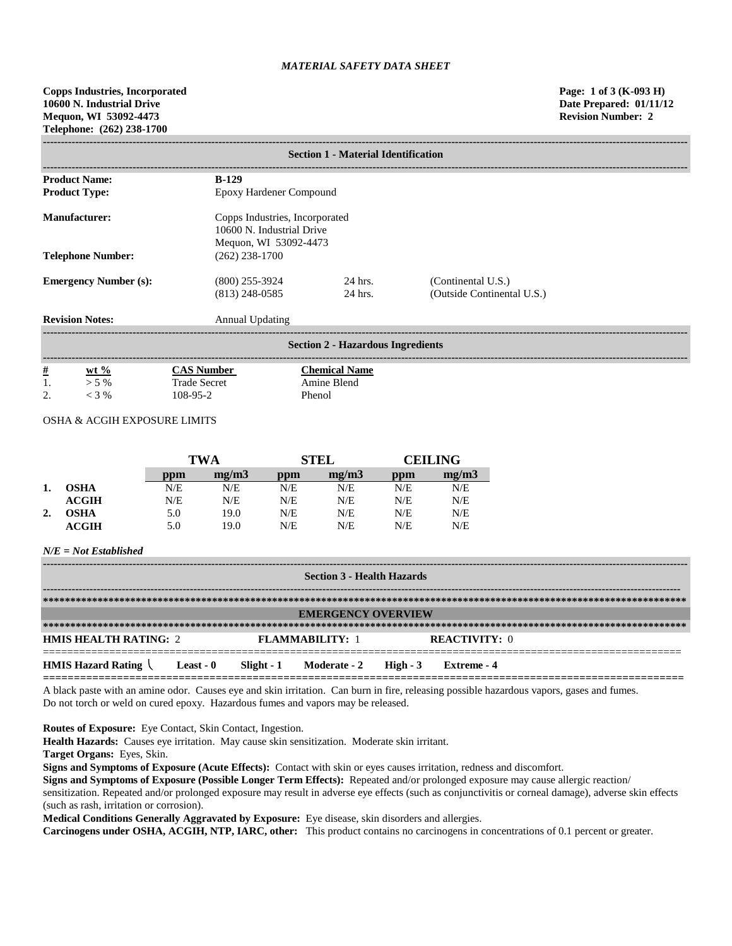| <b>Section 1 - Material Identification</b> |                       |                                                             |                            |  |  |  |  |  |
|--------------------------------------------|-----------------------|-------------------------------------------------------------|----------------------------|--|--|--|--|--|
| <b>Product Name:</b>                       | $B-129$               |                                                             |                            |  |  |  |  |  |
| <b>Product Type:</b>                       |                       | Epoxy Hardener Compound                                     |                            |  |  |  |  |  |
| Manufacturer:                              |                       | Copps Industries, Incorporated<br>10600 N. Industrial Drive |                            |  |  |  |  |  |
|                                            | Mequon, WI 53092-4473 |                                                             |                            |  |  |  |  |  |
| <b>Telephone Number:</b>                   | $(262)$ 238-1700      |                                                             |                            |  |  |  |  |  |
| <b>Emergency Number (s):</b>               | $(800)$ 255-3924      | 24 hrs.                                                     | (Continental U.S.)         |  |  |  |  |  |
|                                            | $(813)$ 248-0585      | 24 hrs.                                                     | (Outside Continental U.S.) |  |  |  |  |  |
| <b>Revision Notes:</b>                     | Annual Updating       |                                                             |                            |  |  |  |  |  |
|                                            |                       | <b>Section 2 - Hazardous Ingredients</b>                    |                            |  |  |  |  |  |
| <u>#</u><br>wt $\%$                        | <b>CAS Number</b>     | <b>Chemical Name</b>                                        |                            |  |  |  |  |  |
| 1.<br>$> 5\%$                              | <b>Trade Secret</b>   | Amine Blend                                                 |                            |  |  |  |  |  |
| 2.<br>$<$ 3 %                              | 108-95-2              | Phenol                                                      |                            |  |  |  |  |  |

# OSHA & ACGIH EXPOSURE LIMITS

|    |                  | TWA |       |     | <b>STEL</b> |     | CEILING- |  |
|----|------------------|-----|-------|-----|-------------|-----|----------|--|
|    |                  | ppm | mg/m3 | ppm | mg/m3       | ppm | mg/m3    |  |
|    | <b>OSHA</b>      | N/E | N/E   | N/E | N/E         | N/E | N/E      |  |
|    | $\mathbf{ACGIH}$ | N/E | N/E   | N/E | N/E         | N/E | N/E      |  |
| 2. | OSHA             | 5.0 | 19.0  | N/E | N/E         | N/E | N/E      |  |
|    | <b>ACGIH</b>     | 5.0 | 19.0  | N/E | N/E         | N/E | N/E      |  |

#### *N/E = Not Established*

| <b>Section 3 - Health Hazards</b>                             |  |  |                           |  |                      |  |
|---------------------------------------------------------------|--|--|---------------------------|--|----------------------|--|
|                                                               |  |  |                           |  |                      |  |
|                                                               |  |  | <b>EMERGENCY OVERVIEW</b> |  |                      |  |
|                                                               |  |  |                           |  |                      |  |
| <b>HMIS HEALTH RATING: 2</b>                                  |  |  | <b>FLAMMARILITY: 1</b>    |  | <b>REACTIVITY:</b> 0 |  |
| HMIS Hazard Rating Least - 0 Slight - 1 Moderate - 2 High - 3 |  |  |                           |  | Extreme - 4          |  |

A black paste with an amine odor. Causes eye and skin irritation. Can burn in fire, releasing possible hazardous vapors, gases and fumes. Do not torch or weld on cured epoxy. Hazardous fumes and vapors may be released.

**Routes of Exposure:** Eye Contact, Skin Contact, Ingestion.

**Health Hazards:** Causes eye irritation. May cause skin sensitization. Moderate skin irritant.

**Target Organs:** Eyes, Skin.

**Signs and Symptoms of Exposure (Acute Effects):** Contact with skin or eyes causes irritation, redness and discomfort.

**Signs and Symptoms of Exposure (Possible Longer Term Effects):** Repeated and/or prolonged exposure may cause allergic reaction/

sensitization. Repeated and/or prolonged exposure may result in adverse eye effects (such as conjunctivitis or corneal damage), adverse skin effects (such as rash, irritation or corrosion).

**Medical Conditions Generally Aggravated by Exposure:** Eye disease, skin disorders and allergies.

**Carcinogens under OSHA, ACGIH, NTP, IARC, other:** This product contains no carcinogens in concentrations of 0.1 percent or greater.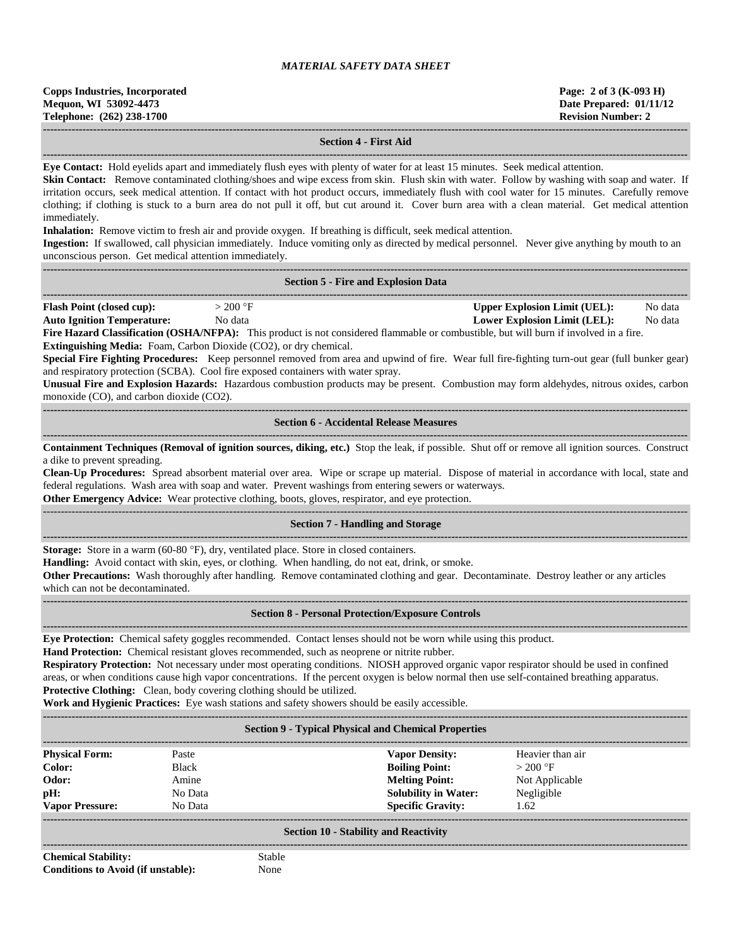#### **Section 4 - First Aid**

**------------------------------------------------------------------------------------------------------------------------------------------------------------------------------------ Eye Contact:** Hold eyelids apart and immediately flush eyes with plenty of water for at least 15 minutes. Seek medical attention.

**Skin Contact:** Remove contaminated clothing/shoes and wipe excess from skin. Flush skin with water. Follow by washing with soap and water. If irritation occurs, seek medical attention. If contact with hot product occurs, immediately flush with cool water for 15 minutes. Carefully remove clothing; if clothing is stuck to a burn area do not pull it off, but cut around it. Cover burn area with a clean material. Get medical attention immediately.

**Inhalation:** Remove victim to fresh air and provide oxygen. If breathing is difficult, seek medical attention.

**Ingestion:** If swallowed, call physician immediately. Induce vomiting only as directed by medical personnel. Never give anything by mouth to an unconscious person. Get medical attention immediately.

**------------------------------------------------------------------------------------------------------------------------------------------------------------------------------------**

| <b>Flash Point (closed cup):</b><br>$>$ 200 °F<br><b>Upper Explosion Limit (UEL):</b><br><b>Auto Ignition Temperature:</b><br>No data<br><b>Lower Explosion Limit (LEL):</b><br>Fire Hazard Classification (OSHA/NFPA): This product is not considered flammable or combustible, but will burn if involved in a fire.<br>Extinguishing Media: Foam, Carbon Dioxide (CO2), or dry chemical.<br>Special Fire Fighting Procedures: Keep personnel removed from area and upwind of fire. Wear full fire-fighting turn-out gear (full bunker gear)<br>and respiratory protection (SCBA). Cool fire exposed containers with water spray.<br>Unusual Fire and Explosion Hazards: Hazardous combustion products may be present. Combustion may form aldehydes, nitrous oxides, carbon<br>monoxide (CO), and carbon dioxide (CO2).<br><b>Section 6 - Accidental Release Measures</b> |                    |
|-----------------------------------------------------------------------------------------------------------------------------------------------------------------------------------------------------------------------------------------------------------------------------------------------------------------------------------------------------------------------------------------------------------------------------------------------------------------------------------------------------------------------------------------------------------------------------------------------------------------------------------------------------------------------------------------------------------------------------------------------------------------------------------------------------------------------------------------------------------------------------|--------------------|
|                                                                                                                                                                                                                                                                                                                                                                                                                                                                                                                                                                                                                                                                                                                                                                                                                                                                             | No data<br>No data |
|                                                                                                                                                                                                                                                                                                                                                                                                                                                                                                                                                                                                                                                                                                                                                                                                                                                                             |                    |
| Containment Techniques (Removal of ignition sources, diking, etc.) Stop the leak, if possible. Shut off or remove all ignition sources. Construct<br>a dike to prevent spreading.<br>Clean-Up Procedures: Spread absorbent material over area. Wipe or scrape up material. Dispose of material in accordance with local, state and<br>federal regulations. Wash area with soap and water. Prevent washings from entering sewers or waterways.<br>Other Emergency Advice: Wear protective clothing, boots, gloves, respirator, and eye protection.                                                                                                                                                                                                                                                                                                                           |                    |
| <b>Section 7 - Handling and Storage</b>                                                                                                                                                                                                                                                                                                                                                                                                                                                                                                                                                                                                                                                                                                                                                                                                                                     |                    |
| Storage: Store in a warm (60-80 °F), dry, ventilated place. Store in closed containers.<br>Handling: Avoid contact with skin, eyes, or clothing. When handling, do not eat, drink, or smoke.<br>Other Precautions: Wash thoroughly after handling. Remove contaminated clothing and gear. Decontaminate. Destroy leather or any articles<br>which can not be decontaminated.                                                                                                                                                                                                                                                                                                                                                                                                                                                                                                |                    |
| <b>Section 8 - Personal Protection/Exposure Controls</b><br>-----------------------                                                                                                                                                                                                                                                                                                                                                                                                                                                                                                                                                                                                                                                                                                                                                                                         |                    |
| Eye Protection: Chemical safety goggles recommended. Contact lenses should not be worn while using this product.<br>Hand Protection: Chemical resistant gloves recommended, such as neoprene or nitrite rubber.<br>Respiratory Protection: Not necessary under most operating conditions. NIOSH approved organic vapor respirator should be used in confined<br>areas, or when conditions cause high vapor concentrations. If the percent oxygen is below normal then use self-contained breathing apparatus.<br>Protective Clothing: Clean, body covering clothing should be utilized.<br>Work and Hygienic Practices: Eye wash stations and safety showers should be easily accessible.                                                                                                                                                                                   |                    |
| <b>Section 9 - Typical Physical and Chemical Properties</b>                                                                                                                                                                                                                                                                                                                                                                                                                                                                                                                                                                                                                                                                                                                                                                                                                 |                    |
| <b>Physical Form:</b><br>Paste<br><b>Vapor Density:</b><br>Heavier than air<br>Color:<br><b>Boiling Point:</b><br>$>$ 200 °F<br><b>Black</b><br><b>Melting Point:</b><br>Odor:<br>Amine<br>Not Applicable<br><b>Solubility in Water:</b><br>Negligible<br>pH:<br>No Data<br><b>Specific Gravity:</b><br>1.62<br><b>Vapor Pressure:</b><br>No Data<br><b>Section 10 - Stability and Reactivity</b>                                                                                                                                                                                                                                                                                                                                                                                                                                                                           |                    |
| <b>Chemical Stability:</b><br>Stable                                                                                                                                                                                                                                                                                                                                                                                                                                                                                                                                                                                                                                                                                                                                                                                                                                        |                    |

**Conditions to Avoid (if unstable):** None